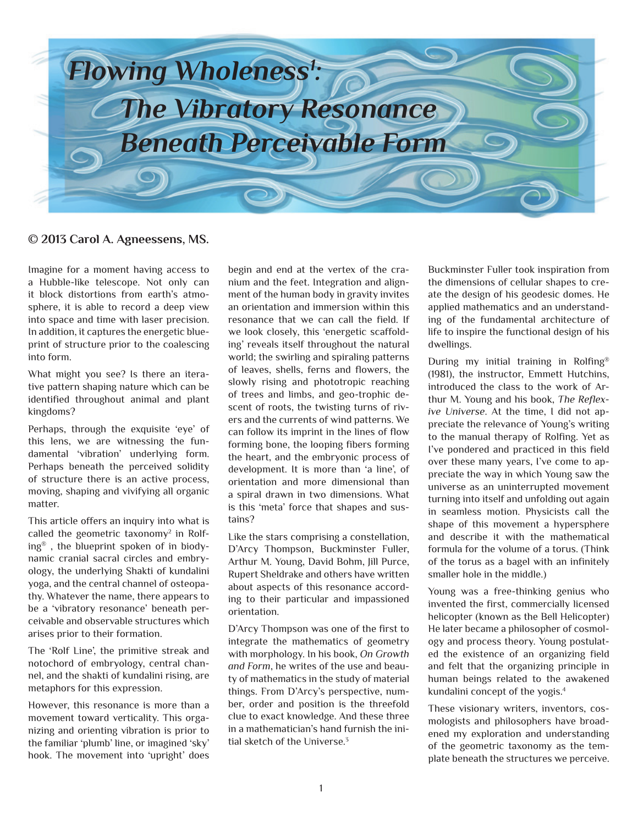

#### **© 2013 Carol A. Agneessens, MS.**

Imagine for a moment having access to a Hubble-like telescope. Not only can it block distortions from earth's atmosphere, it is able to record a deep view into space and time with laser precision. In addition, it captures the energetic blueprint of structure prior to the coalescing into form.

What might you see? Is there an iterative pattern shaping nature which can be identified throughout animal and plant kingdoms?

Perhaps, through the exquisite 'eye' of this lens, we are witnessing the fundamental 'vibration' underlying form. Perhaps beneath the perceived solidity of structure there is an active process, moving, shaping and vivifying all organic matter.

This article offers an inquiry into what is called the geometric taxonomy<sup>2</sup> in Rolfing® , the blueprint spoken of in biodynamic cranial sacral circles and embryology, the underlying Shakti of kundalini yoga, and the central channel of osteopathy. Whatever the name, there appears to be a 'vibratory resonance' beneath perceivable and observable structures which arises prior to their formation.

The 'Rolf Line', the primitive streak and notochord of embryology, central channel, and the shakti of kundalini rising, are metaphors for this expression.

However, this resonance is more than a movement toward verticality. This organizing and orienting vibration is prior to the familiar 'plumb' line, or imagined 'sky' hook. The movement into 'upright' does begin and end at the vertex of the cranium and the feet. Integration and alignment of the human body in gravity invites an orientation and immersion within this resonance that we can call the field. If we look closely, this 'energetic scaffolding' reveals itself throughout the natural world; the swirling and spiraling patterns of leaves, shells, ferns and flowers, the slowly rising and phototropic reaching of trees and limbs, and geo-trophic descent of roots, the twisting turns of rivers and the currents of wind patterns. We can follow its imprint in the lines of flow forming bone, the looping fibers forming the heart, and the embryonic process of development. It is more than 'a line', of orientation and more dimensional than a spiral drawn in two dimensions. What is this 'meta' force that shapes and sustains?

Like the stars comprising a constellation, D'Arcy Thompson, Buckminster Fuller, Arthur M. Young, David Bohm, Jill Purce, Rupert Sheldrake and others have written about aspects of this resonance according to their particular and impassioned orientation.

D'Arcy Thompson was one of the first to integrate the mathematics of geometry with morphology. In his book, *On Growth and Form*, he writes of the use and beauty of mathematics in the study of material things. From D'Arcy's perspective, number, order and position is the threefold clue to exact knowledge. And these three in a mathematician's hand furnish the initial sketch of the Universe.<sup>3</sup>

Buckminster Fuller took inspiration from the dimensions of cellular shapes to create the design of his geodesic domes. He applied mathematics and an understanding of the fundamental architecture of life to inspire the functional design of his dwellings.

During my initial training in Rolfing® (1981), the instructor, Emmett Hutchins, introduced the class to the work of Arthur M. Young and his book, *The Reflexive Universe*. At the time, I did not appreciate the relevance of Young's writing to the manual therapy of Rolfing. Yet as I've pondered and practiced in this field over these many years, I've come to appreciate the way in which Young saw the universe as an uninterrupted movement turning into itself and unfolding out again in seamless motion. Physicists call the shape of this movement a hypersphere and describe it with the mathematical formula for the volume of a torus. (Think of the torus as a bagel with an infinitely smaller hole in the middle.)

Young was a free-thinking genius who invented the first, commercially licensed helicopter (known as the Bell Helicopter) He later became a philosopher of cosmology and process theory. Young postulated the existence of an organizing field and felt that the organizing principle in human beings related to the awakened kundalini concept of the yogis.4

These visionary writers, inventors, cosmologists and philosophers have broadened my exploration and understanding of the geometric taxonomy as the template beneath the structures we perceive.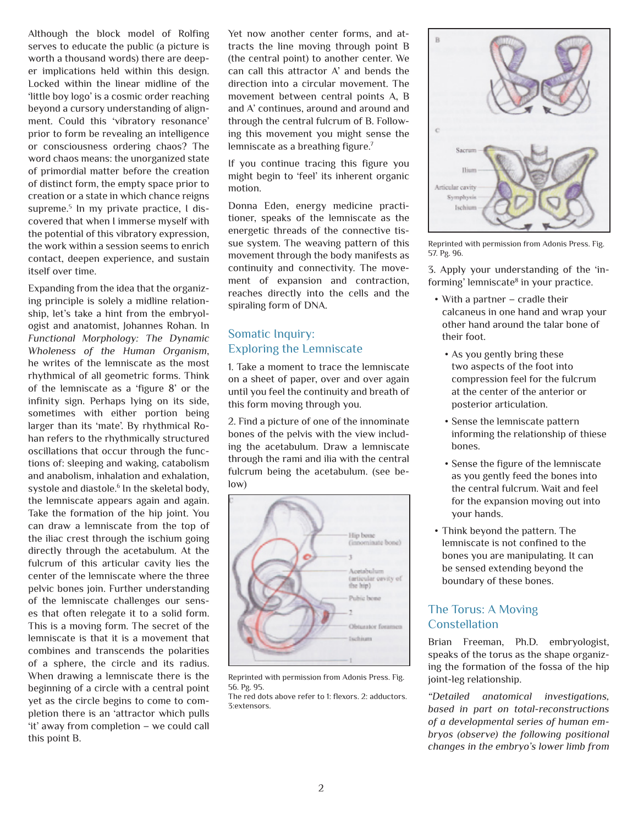Although the block model of Rolfing serves to educate the public (a picture is worth a thousand words) there are deeper implications held within this design. Locked within the linear midline of the 'little boy logo' is a cosmic order reaching beyond a cursory understanding of alignment. Could this 'vibratory resonance' prior to form be revealing an intelligence or consciousness ordering chaos? The word chaos means: the unorganized state of primordial matter before the creation of distinct form, the empty space prior to creation or a state in which chance reigns supreme.<sup>5</sup> In my private practice, I discovered that when I immerse myself with the potential of this vibratory expression, the work within a session seems to enrich contact, deepen experience, and sustain itself over time.

Expanding from the idea that the organizing principle is solely a midline relationship, let's take a hint from the embryologist and anatomist, Johannes Rohan. In *Functional Morphology: The Dynamic Wholeness of the Human Organism*, he writes of the lemniscate as the most rhythmical of all geometric forms. Think of the lemniscate as a 'figure 8' or the infinity sign. Perhaps lying on its side, sometimes with either portion being larger than its 'mate'. By rhythmical Rohan refers to the rhythmically structured oscillations that occur through the functions of: sleeping and waking, catabolism and anabolism, inhalation and exhalation, systole and diastole.<sup>6</sup> In the skeletal body, the lemniscate appears again and again. Take the formation of the hip joint. You can draw a lemniscate from the top of the iliac crest through the ischium going directly through the acetabulum. At the fulcrum of this articular cavity lies the center of the lemniscate where the three pelvic bones join. Further understanding of the lemniscate challenges our senses that often relegate it to a solid form. This is a moving form. The secret of the lemniscate is that it is a movement that combines and transcends the polarities of a sphere, the circle and its radius. When drawing a lemniscate there is the beginning of a circle with a central point yet as the circle begins to come to completion there is an 'attractor which pulls 'it' away from completion – we could call this point B.

Yet now another center forms, and attracts the line moving through point B (the central point) to another center. We can call this attractor A' and bends the direction into a circular movement. The movement between central points A, B and A' continues, around and around and through the central fulcrum of B. Following this movement you might sense the lemniscate as a breathing figure.<sup>7</sup>

If you continue tracing this figure you might begin to 'feel' its inherent organic motion.

Donna Eden, energy medicine practitioner, speaks of the lemniscate as the energetic threads of the connective tissue system. The weaving pattern of this movement through the body manifests as continuity and connectivity. The movement of expansion and contraction, reaches directly into the cells and the spiraling form of DNA.

# Somatic Inquiry: Exploring the Lemniscate

1. Take a moment to trace the lemniscate on a sheet of paper, over and over again until you feel the continuity and breath of this form moving through you.

2. Find a picture of one of the innominate bones of the pelvis with the view including the acetabulum. Draw a lemniscate through the rami and ilia with the central fulcrum being the acetabulum. (see below)



Reprinted with permission from Adonis Press. Fig. 56. Pg. 95.

The red dots above refer to 1: flexors. 2: adductors. 3:extensors.



Reprinted with permission from Adonis Press. Fig. 57. Pg. 96.

3. Apply your understanding of the 'informing' lemniscate<sup>8</sup> in your practice.

- With a partner cradle their calcaneus in one hand and wrap your other hand around the talar bone of their foot.
	- As you gently bring these two aspects of the foot into compression feel for the fulcrum at the center of the anterior or posterior articulation.
	- • Sense the lemniscate pattern informing the relationship of thiese bones.
	- • Sense the figure of the lemniscate as you gently feed the bones into the central fulcrum. Wait and feel for the expansion moving out into your hands.
- • Think beyond the pattern. The lemniscate is not confined to the bones you are manipulating. It can be sensed extending beyond the boundary of these bones.

# The Torus: A Moving **Constellation**

Brian Freeman, Ph.D. embryologist, speaks of the torus as the shape organizing the formation of the fossa of the hip joint-leg relationship.

*"Detailed anatomical investigations, based in part on total-reconstructions of a developmental series of human embryos (observe) the following positional changes in the embryo's lower limb from*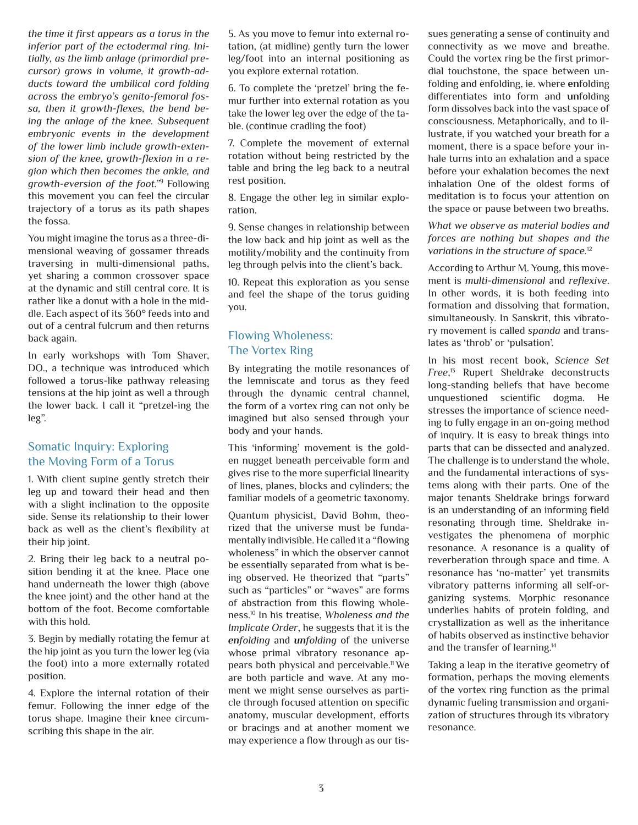*the time it first appears as a torus in the inferior part of the ectodermal ring. Initially, as the limb anlage (primordial precursor) grows in volume, it growth-adducts toward the umbilical cord folding across the embryo's genito-femoral fossa, then it growth-flexes, the bend being the anlage of the knee. Subsequent embryonic events in the development of the lower limb include growth-extension of the knee, growth-flexion in a region which then becomes the ankle, and growth-eversion of the foot."*<sup>9</sup> Following this movement you can feel the circular trajectory of a torus as its path shapes the fossa.

You might imagine the torus as a three-dimensional weaving of gossamer threads traversing in multi-dimensional paths, yet sharing a common crossover space at the dynamic and still central core. It is rather like a donut with a hole in the middle. Each aspect of its 360° feeds into and out of a central fulcrum and then returns back again.

In early workshops with Tom Shaver, DO., a technique was introduced which followed a torus-like pathway releasing tensions at the hip joint as well a through the lower back. I call it "pretzel-ing the leg".

### Somatic Inquiry: Exploring the Moving Form of a Torus

1. With client supine gently stretch their leg up and toward their head and then with a slight inclination to the opposite side. Sense its relationship to their lower back as well as the client's flexibility at their hip joint.

2. Bring their leg back to a neutral position bending it at the knee. Place one hand underneath the lower thigh (above the knee joint) and the other hand at the bottom of the foot. Become comfortable with this hold.

3. Begin by medially rotating the femur at the hip joint as you turn the lower leg (via the foot) into a more externally rotated position.

4. Explore the internal rotation of their femur. Following the inner edge of the torus shape. Imagine their knee circumscribing this shape in the air.

5. As you move to femur into external rotation, (at midline) gently turn the lower leg/foot into an internal positioning as you explore external rotation.

6. To complete the 'pretzel' bring the femur further into external rotation as you take the lower leg over the edge of the table. (continue cradling the foot)

7. Complete the movement of external rotation without being restricted by the table and bring the leg back to a neutral rest position.

8. Engage the other leg in similar exploration.

9. Sense changes in relationship between the low back and hip joint as well as the motility/mobility and the continuity from leg through pelvis into the client's back.

10. Repeat this exploration as you sense and feel the shape of the torus guiding you.

### Flowing Wholeness: The Vortex Ring

By integrating the motile resonances of the lemniscate and torus as they feed through the dynamic central channel, the form of a vortex ring can not only be imagined but also sensed through your body and your hands.

This 'informing' movement is the golden nugget beneath perceivable form and gives rise to the more superficial linearity of lines, planes, blocks and cylinders; the familiar models of a geometric taxonomy.

Quantum physicist, David Bohm, theorized that the universe must be fundamentally indivisible. He called it a "flowing wholeness" in which the observer cannot be essentially separated from what is being observed. He theorized that "parts" such as "particles" or "waves" are forms of abstraction from this flowing wholeness.10 In his treatise, *Wholeness and the Implicate Order*, he suggests that it is the *enfolding* and *unfolding* of the universe whose primal vibratory resonance appears both physical and perceivable.11 We are both particle and wave. At any moment we might sense ourselves as particle through focused attention on specific anatomy, muscular development, efforts or bracings and at another moment we may experience a flow through as our tissues generating a sense of continuity and connectivity as we move and breathe. Could the vortex ring be the first primordial touchstone, the space between unfolding and enfolding, ie. where **en**folding differentiates into form and **un**folding form dissolves back into the vast space of consciousness. Metaphorically, and to illustrate, if you watched your breath for a moment, there is a space before your inhale turns into an exhalation and a space before your exhalation becomes the next inhalation One of the oldest forms of meditation is to focus your attention on the space or pause between two breaths.

*What we observe as material bodies and forces are nothing but shapes and the variations in the structure of space.*<sup>12</sup>

According to Arthur M. Young, this movement is *multi-dimensional* and *reflexive*. In other words, it is both feeding into formation and dissolving that formation, simultaneously. In Sanskrit, this vibratory movement is called *spanda* and translates as 'throb' or 'pulsation'.

In his most recent book, *Science Set Free*, 13 Rupert Sheldrake deconstructs long-standing beliefs that have become unquestioned scientific dogma. He stresses the importance of science needing to fully engage in an on-going method of inquiry. It is easy to break things into parts that can be dissected and analyzed. The challenge is to understand the whole, and the fundamental interactions of systems along with their parts. One of the major tenants Sheldrake brings forward is an understanding of an informing field resonating through time. Sheldrake investigates the phenomena of morphic resonance. A resonance is a quality of reverberation through space and time. A resonance has 'no-matter' yet transmits vibratory patterns informing all self-organizing systems. Morphic resonance underlies habits of protein folding, and crystallization as well as the inheritance of habits observed as instinctive behavior and the transfer of learning.14

Taking a leap in the iterative geometry of formation, perhaps the moving elements of the vortex ring function as the primal dynamic fueling transmission and organization of structures through its vibratory resonance.